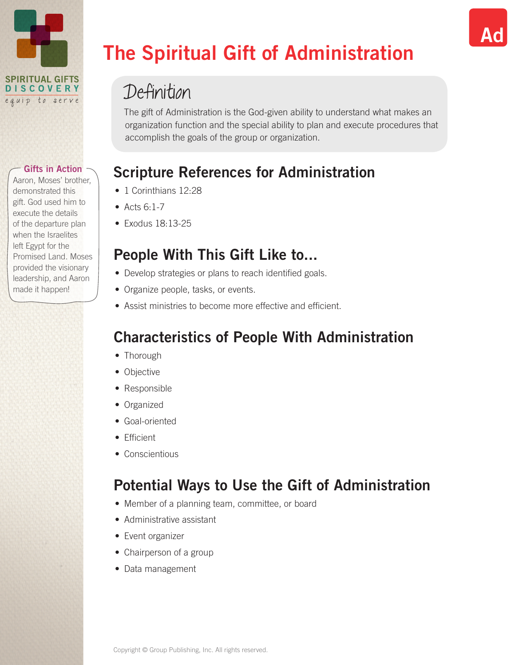

Aaron, Moses' brother, demonstrated this gift. God used him to execute the details of the departure plan when the Israelites left Egypt for the Promised Land. Moses provided the visionary leadership, and Aaron made it happen!

# The Spiritual Gift of Administration

# Definition

The gift of Administration is the God-given ability to understand what makes an organization function and the special ability to plan and execute procedures that accomplish the goals of the group or organization.

Ad

# Scripture References for Administration

- 1 Corinthians 12:28
- $\bullet$  Acts 6.1-7
- Exodus 18:13-25

## People With This Gift Like to...

- Develop strategies or plans to reach identified goals.
- Organize people, tasks, or events.
- Assist ministries to become more effective and efficient.

# Characteristics of People With Administration

- Thorough
- Objective
- Responsible
- Organized
- Goal-oriented
- Efficient
- Conscientious

# Potential Ways to Use the Gift of Administration

- Member of a planning team, committee, or board
- Administrative assistant
- Event organizer
- Chairperson of a group
- Data management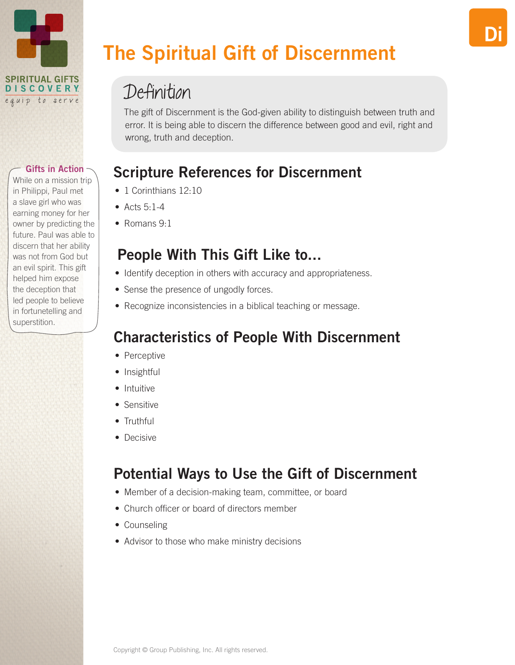

While on a mission trip in Philippi, Paul met a slave girl who was earning money for her owner by predicting the future. Paul was able to discern that her ability was not from God but an evil spirit. This gift helped him expose the deception that led people to believe in fortunetelling and superstition.

# The Spiritual Gift of Discernment

# Definition

The gift of Discernment is the God-given ability to distinguish between truth and error. It is being able to discern the difference between good and evil, right and wrong, truth and deception.

Di

# Scripture References for Discernment

- 1 Corinthians 12:10
- $\bullet$  Acts 5.1-4
- Romans 9.1

## People With This Gift Like to...

- Identify deception in others with accuracy and appropriateness.
- Sense the presence of ungodly forces.
- Recognize inconsistencies in a biblical teaching or message.

# Characteristics of People With Discernment

- Perceptive
- Insightful
- Intuitive
- Sensitive
- Truthful
- Decisive

# Potential Ways to Use the Gift of Discernment

- Member of a decision-making team, committee, or board
- Church officer or board of directors member
- Counseling
- Advisor to those who make ministry decisions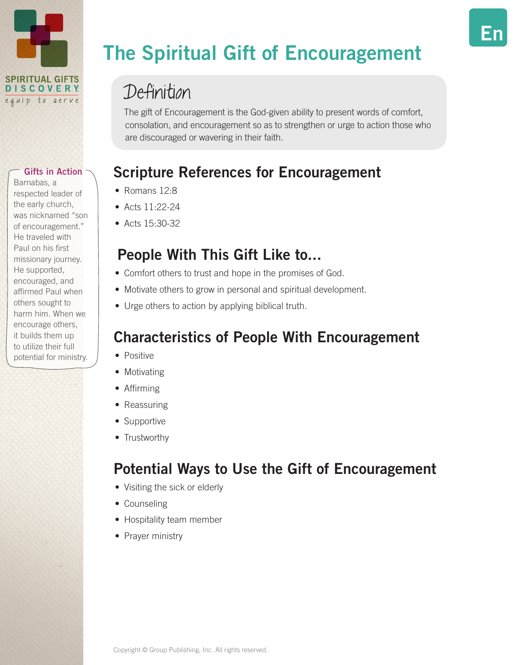

Barnabas, a respected leader of the early church, was nicknamed "son of encouragement." He traveled with Paul on his first missionary journey. He supported, encouraged, and affirmed Paul when others sought to harm him. When we encourage others, it builds them up to utilize their full potential for ministry.

# The Spiritual Gift of Encouragement

En

# Definition

The gift of Encouragement is the God-given ability to present words of comfort, consolation, and encouragement so as to strengthen or urge to action those who are discouraged or wavering in their faith.

# Scripture References for Encouragement

- Romans 12:8
- Acts  $11.22 24$
- Acts 15:30-32

## People With This Gift Like to...

- Comfort others to trust and hope in the promises of God.
- Motivate others to grow in personal and spiritual development.
- Urge others to action by applying biblical truth.

# Characteristics of People With Encouragement

- Positive
- Motivating
- Affirming
- Reassuring
- Supportive
- Trustworthy

# Potential Ways to Use the Gift of Encouragement

- Visiting the sick or elderly
- Counseling
- Hospitality team member
- Prayer ministry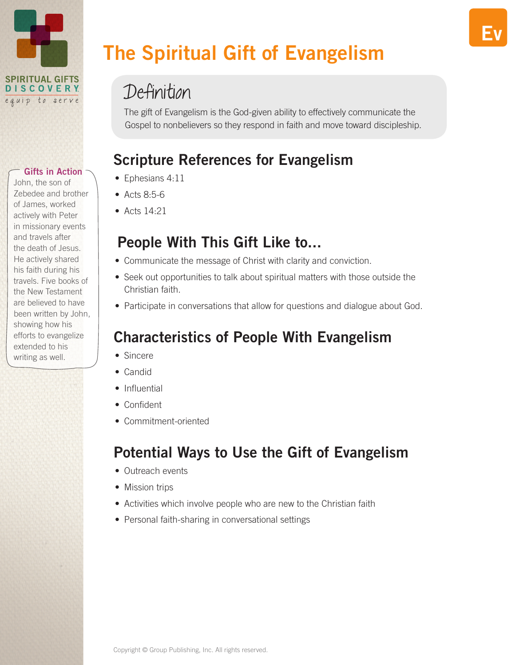

John, the son of Zebedee and brother of James, worked actively with Peter in missionary events and travels after the death of Jesus. He actively shared his faith during his travels. Five books of the New Testament are believed to have been written by John, showing how his efforts to evangelize extended to his writing as well.

# The Spiritual Gift of Evangelism

# Definition

The gift of Evangelism is the God-given ability to effectively communicate the Gospel to nonbelievers so they respond in faith and move toward discipleship.

# Scripture References for Evangelism

- Ephesians 4:11
- Acts 8:5-6
- $\bullet$  Acts 14.21

### People With This Gift Like to...

- Communicate the message of Christ with clarity and conviction.
- Seek out opportunities to talk about spiritual matters with those outside the Christian faith.
- Participate in conversations that allow for questions and dialogue about God.

# Characteristics of People With Evangelism

- Sincere
- Candid
- Influential
- Confident
- Commitment-oriented

# Potential Ways to Use the Gift of Evangelism

- Outreach events
- Mission trips
- Activities which involve people who are new to the Christian faith
- Personal faith-sharing in conversational settings

Ev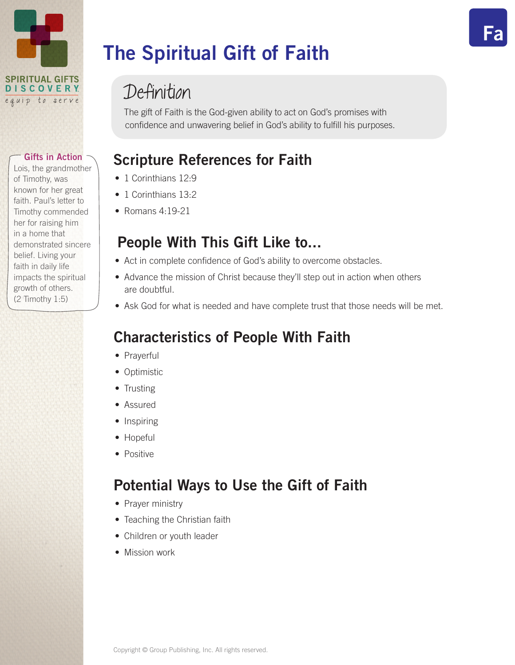

**Gifts in Action -**Lois, the grandmother

of Timothy, was known for her great faith. Paul's letter to Timothy commended her for raising him in a home that demonstrated sincere belief. Living your faith in daily life impacts the spiritual growth of others. (2 Timothy 1:5)

# The Spiritual Gift of Faith

# Definition

The gift of Faith is the God-given ability to act on God's promises with confidence and unwavering belief in God's ability to fulfill his purposes. Fa

# Scripture References for Faith

- 1 Corinthians 12:9
- 1 Corinthians 13:2
- Romans  $4.19-21$

# People With This Gift Like to...

- Act in complete confidence of God's ability to overcome obstacles.
- Advance the mission of Christ because they'll step out in action when others are doubtful.
- Ask God for what is needed and have complete trust that those needs will be met.

# Characteristics of People With Faith

- Prayerful
- Optimistic
- Trusting
- Assured
- Inspiring
- Hopeful
- Positive

# Potential Ways to Use the Gift of Faith

- Prayer ministry
- Teaching the Christian faith
- Children or youth leader
- Mission work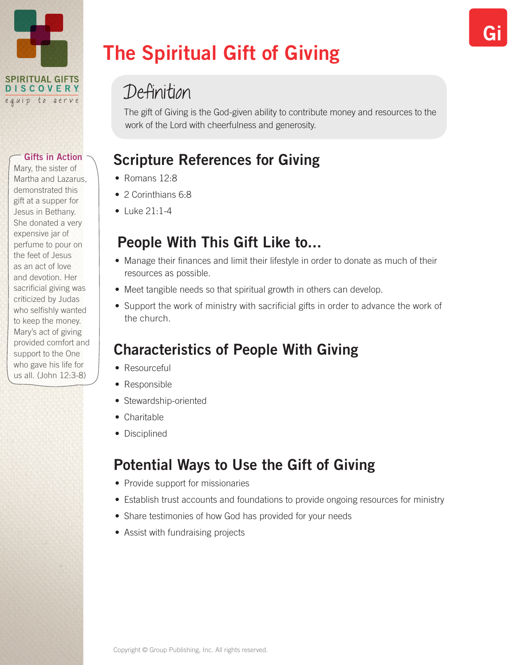

Mary, the sister of Martha and Lazarus, demonstrated this gift at a supper for Jesus in Bethany. She donated a very expensive jar of perfume to pour on the feet of Jesus as an act of love and devotion. Her sacrificial giving was criticized by Judas who selfishly wanted to keep the money. Mary's act of giving provided comfort and support to the One who gave his life for us all. (John 12:3-8)

# The Spiritual Gift of Giving

# Definition

The gift of Giving is the God-given ability to contribute money and resources to the work of the Lord with cheerfulness and generosity.

# Scripture References for Giving

- Romans 12.8
- 2 Corinthians 6:8
- $\bullet$  Luke 21.1-4

## People With This Gift Like to...

- Manage their finances and limit their lifestyle in order to donate as much of their resources as possible.
- Meet tangible needs so that spiritual growth in others can develop.
- Support the work of ministry with sacrificial gifts in order to advance the work of the church.

# Characteristics of People With Giving

- Resourceful
- Responsible
- Stewardship-oriented
- Charitable
- Disciplined

# Potential Ways to Use the Gift of Giving

- Provide support for missionaries
- Establish trust accounts and foundations to provide ongoing resources for ministry
- Share testimonies of how God has provided for your needs
- Assist with fundraising projects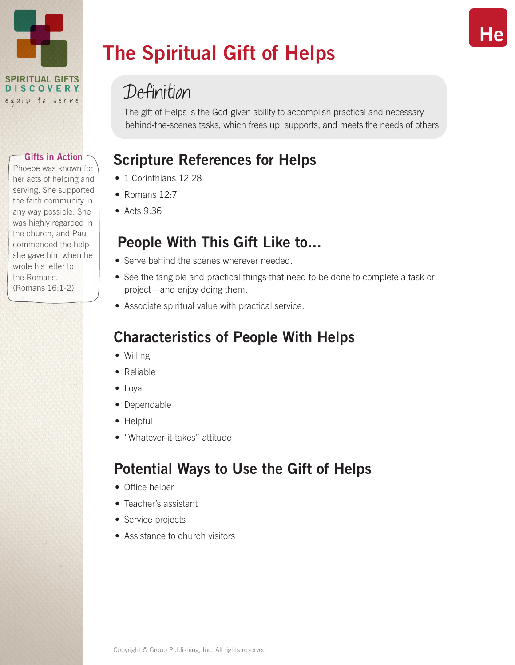

Phoebe was known for her acts of helping and serving. She supported the faith community in any way possible. She was highly regarded in the church, and Paul commended the help she gave him when he wrote his letter to the Romans. (Romans 16:1-2)

# The Spiritual Gift of Helps

# Definition

The gift of Helps is the God-given ability to accomplish practical and necessary behind-the-scenes tasks, which frees up, supports, and meets the needs of others.

# Scripture References for Helps

- 1 Corinthians 12.28
- Romans 12:7
- Acts 9:36

## People With This Gift Like to...

- Serve behind the scenes wherever needed.
- See the tangible and practical things that need to be done to complete a task or project—and enjoy doing them.
- Associate spiritual value with practical service.

# Characteristics of People With Helps

- Willing
- Reliable
- Loyal
- Dependable
- Helpful
- "Whatever-it-takes" attitude

# Potential Ways to Use the Gift of Helps

- Office helper
- Teacher's assistant
- Service projects
- Assistance to church visitors

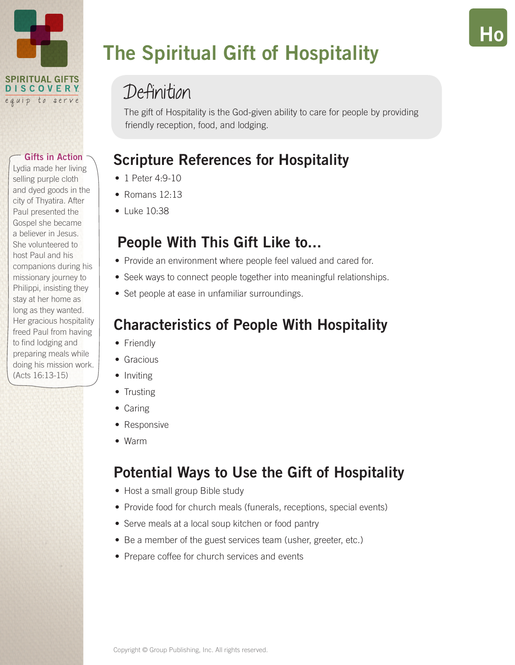

Lydia made her living selling purple cloth and dyed goods in the city of Thyatira. After Paul presented the Gospel she became a believer in Jesus. She volunteered to host Paul and his companions during his missionary journey to Philippi, insisting they stay at her home as long as they wanted. Her gracious hospitality freed Paul from having to find lodging and preparing meals while doing his mission work. (Acts 16:13-15)

# The Spiritual Gift of Hospitality

# Definition

The gift of Hospitality is the God-given ability to care for people by providing friendly reception, food, and lodging.

Ho

# Scripture References for Hospitality

- 1 Peter 4:9-10
- Romans 12:13
- Luke 10:38

## People With This Gift Like to...

- Provide an environment where people feel valued and cared for.
- Seek ways to connect people together into meaningful relationships.
- Set people at ease in unfamiliar surroundings.

## Characteristics of People With Hospitality

- Friendly
- Gracious
- Inviting
- Trusting
- Caring
- Responsive
- Warm

# Potential Ways to Use the Gift of Hospitality

- Host a small group Bible study
- Provide food for church meals (funerals, receptions, special events)
- Serve meals at a local soup kitchen or food pantry
- Be a member of the guest services team (usher, greeter, etc.)
- Prepare coffee for church services and events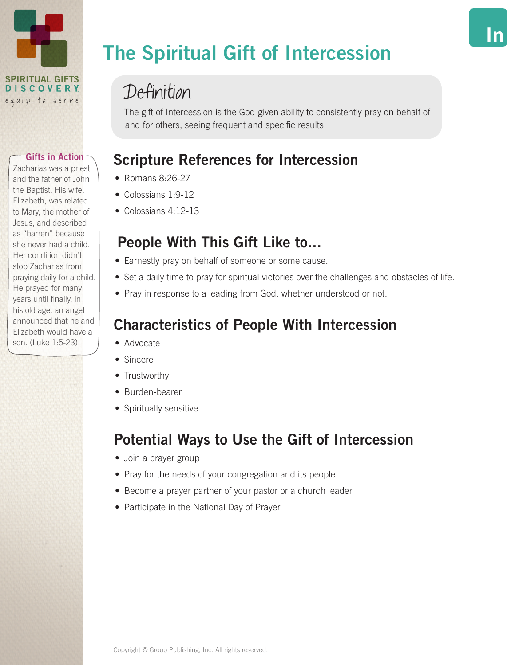

Zacharias was a priest and the father of John the Baptist. His wife, Elizabeth, was related to Mary, the mother of Jesus, and described as "barren" because she never had a child. Her condition didn't stop Zacharias from praying daily for a child. He prayed for many years until finally, in his old age, an angel announced that he and Elizabeth would have a son. (Luke 1:5-23)

# The Spiritual Gift of Intercession

# Definition

The gift of Intercession is the God-given ability to consistently pray on behalf of and for others, seeing frequent and specific results.

# Scripture References for Intercession

- Romans 8:26-27
- Colossians 1:9-12
- $\bullet$  Colossians 4.12-13

# People With This Gift Like to...

- Earnestly pray on behalf of someone or some cause.
- Set a daily time to pray for spiritual victories over the challenges and obstacles of life.
- Pray in response to a leading from God, whether understood or not.

# Characteristics of People With Intercession

- Advocate
- Sincere
- Trustworthy
- Burden-bearer
- Spiritually sensitive

# Potential Ways to Use the Gift of Intercession

- Join a prayer group
- Pray for the needs of your congregation and its people
- Become a prayer partner of your pastor or a church leader
- Participate in the National Day of Prayer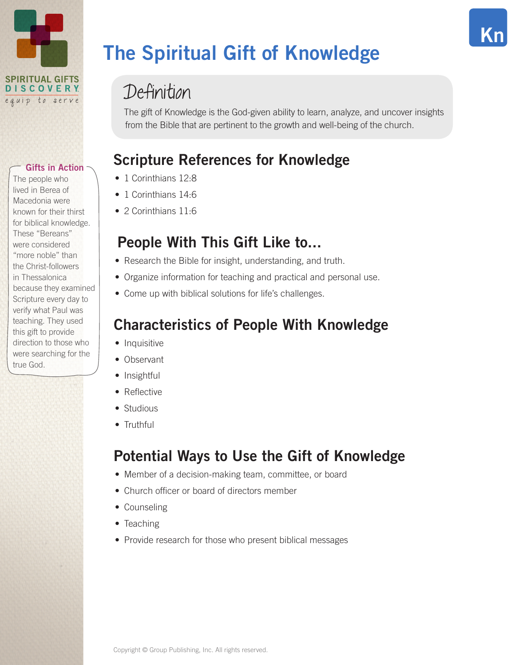

The people who lived in Berea of Macedonia were known for their thirst for biblical knowledge. These "Bereans" were considered "more noble" than the Christ-followers in Thessalonica because they examined Scripture every day to verify what Paul was teaching. They used this gift to provide direction to those who were searching for the true God.

# The Spiritual Gift of Knowledge

# Definition

The gift of Knowledge is the God-given ability to learn, analyze, and uncover insights from the Bible that are pertinent to the growth and well-being of the church.

Kn

# Scripture References for Knowledge

- 1 Corinthians 12.8
- 1 Corinthians 14:6
- 2 Corinthians 11.6

### People With This Gift Like to...

- Research the Bible for insight, understanding, and truth.
- Organize information for teaching and practical and personal use.
- Come up with biblical solutions for life's challenges.

### Characteristics of People With Knowledge

- Inquisitive
- Observant
- Insightful
- Reflective
- Studious
- Truthful

## Potential Ways to Use the Gift of Knowledge

- Member of a decision-making team, committee, or board
- Church officer or board of directors member
- Counseling
- Teaching
- Provide research for those who present biblical messages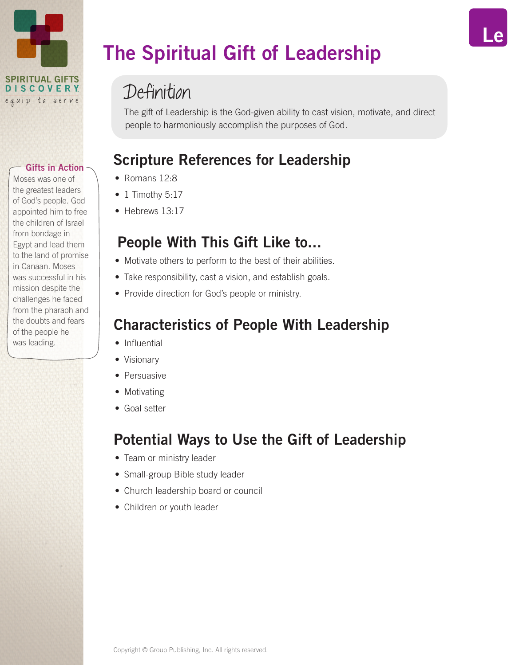

Moses was one of the greatest leaders of God's people. God appointed him to free the children of Israel from bondage in Egypt and lead them to the land of promise in Canaan. Moses was successful in his mission despite the challenges he faced from the pharaoh and the doubts and fears of the people he was leading.

# The Spiritual Gift of Leadership

# Definition

The gift of Leadership is the God-given ability to cast vision, motivate, and direct people to harmoniously accomplish the purposes of God.

## Scripture References for Leadership

- Romans 12.8
- $\bullet$  1 Timothy 5:17
- Hebrews 13:17

### People With This Gift Like to...

- Motivate others to perform to the best of their abilities.
- Take responsibility, cast a vision, and establish goals.
- Provide direction for God's people or ministry.

### Characteristics of People With Leadership

- Influential
- Visionary
- Persuasive
- Motivating
- Goal setter

## Potential Ways to Use the Gift of Leadership

- Team or ministry leader
- Small-group Bible study leader
- Church leadership board or council
- Children or youth leader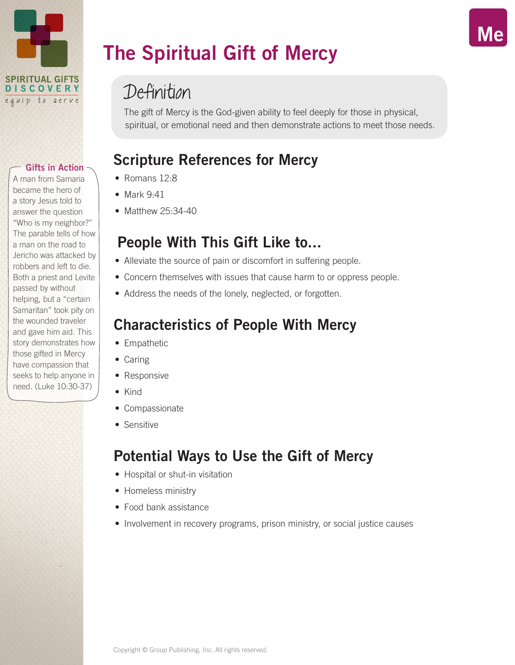

A man from Samaria became the hero of a story Jesus told to answer the question "Who is my neighbor?" The parable tells of how a man on the road to Jericho was attacked by robbers and left to die. Both a priest and Levite passed by without helping, but a "certain Samaritan" took pity on the wounded traveler and gave him aid. This story demonstrates how those gifted in Mercy have compassion that seeks to help anyone in need. (Luke 10:30-37)

# The Spiritual Gift of Mercy

# Definition

The gift of Mercy is the God-given ability to feel deeply for those in physical, spiritual, or emotional need and then demonstrate actions to meet those needs. Me

## Scripture References for Mercy

- Romans 12.8
- Mark 9:41
- Matthew 25:34-40

### People With This Gift Like to...

- Alleviate the source of pain or discomfort in suffering people.
- Concern themselves with issues that cause harm to or oppress people.
- Address the needs of the lonely, neglected, or forgotten.

### Characteristics of People With Mercy

- Empathetic
- Caring
- Responsive
- Kind
- Compassionate
- Sensitive

# Potential Ways to Use the Gift of Mercy

- Hospital or shut-in visitation
- Homeless ministry
- Food bank assistance
- Involvement in recovery programs, prison ministry, or social justice causes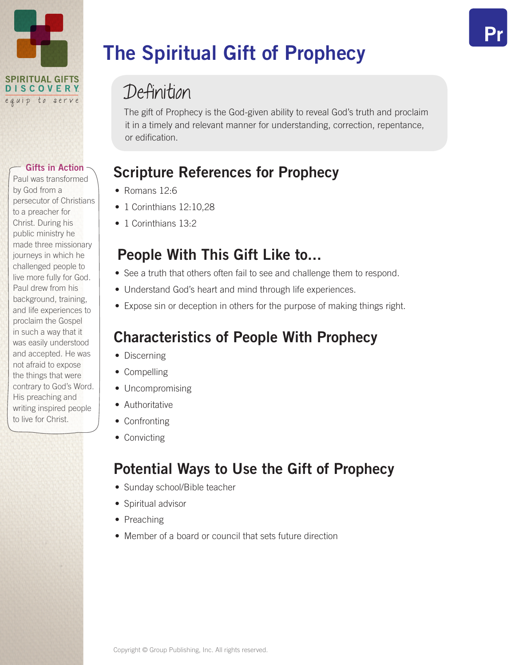

Paul was transformed by God from a persecutor of Christians to a preacher for Christ. During his public ministry he made three missionary journeys in which he challenged people to live more fully for God. Paul drew from his background, training, and life experiences to proclaim the Gospel in such a way that it was easily understood and accepted. He was not afraid to expose the things that were contrary to God's Word. His preaching and writing inspired people to live for Christ.

# The Spiritual Gift of Prophecy

# Definition

The gift of Prophecy is the God-given ability to reveal God's truth and proclaim it in a timely and relevant manner for understanding, correction, repentance, or edification.

## Scripture References for Prophecy

- Romans 12.6
- 1 Corinthians 12:10.28
- 1 Corinthians 13.2

### People With This Gift Like to...

- See a truth that others often fail to see and challenge them to respond.
- Understand God's heart and mind through life experiences.
- Expose sin or deception in others for the purpose of making things right.

# Characteristics of People With Prophecy

- Discerning
- Compelling
- Uncompromising
- Authoritative
- Confronting
- Convicting

# Potential Ways to Use the Gift of Prophecy

- Sunday school/Bible teacher
- Spiritual advisor
- Preaching
- Member of a board or council that sets future direction

Pr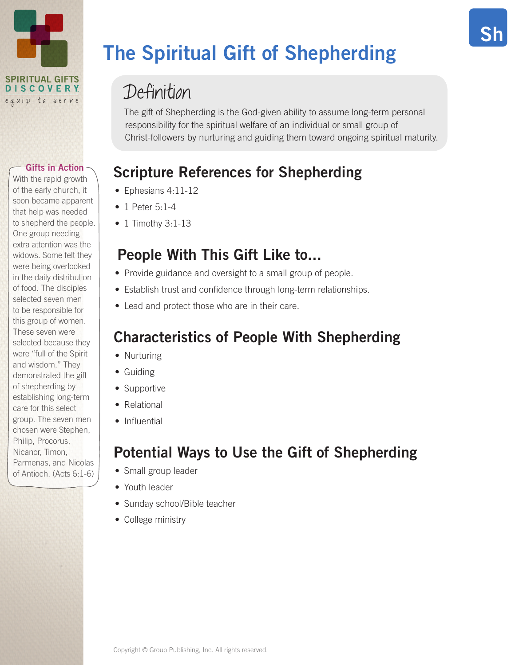

With the rapid growth of the early church, it soon became apparent that help was needed to shepherd the people. One group needing extra attention was the widows. Some felt they were being overlooked in the daily distribution of food. The disciples selected seven men to be responsible for this group of women. These seven were selected because they were "full of the Spirit and wisdom." They demonstrated the gift of shepherding by establishing long-term care for this select group. The seven men chosen were Stephen, Philip, Procorus, Nicanor, Timon, Parmenas, and Nicolas of Antioch. (Acts 6:1-6)

# The Spiritual Gift of Shepherding

# Definition

The gift of Shepherding is the God-given ability to assume long-term personal responsibility for the spiritual welfare of an individual or small group of Christ-followers by nurturing and guiding them toward ongoing spiritual maturity. Sh

# Scripture References for Shepherding

- Ephesians 4:11-12
- 1 Peter 5:1-4
- $\bullet$  1 Timothy 3:1-13

## People With This Gift Like to...

- Provide guidance and oversight to a small group of people.
- Establish trust and confidence through long-term relationships.
- Lead and protect those who are in their care.

# Characteristics of People With Shepherding

- Nurturing
- Guiding
- Supportive
- Relational
- Influential

# Potential Ways to Use the Gift of Shepherding

- Small group leader
- Youth leader
- Sunday school/Bible teacher
- College ministry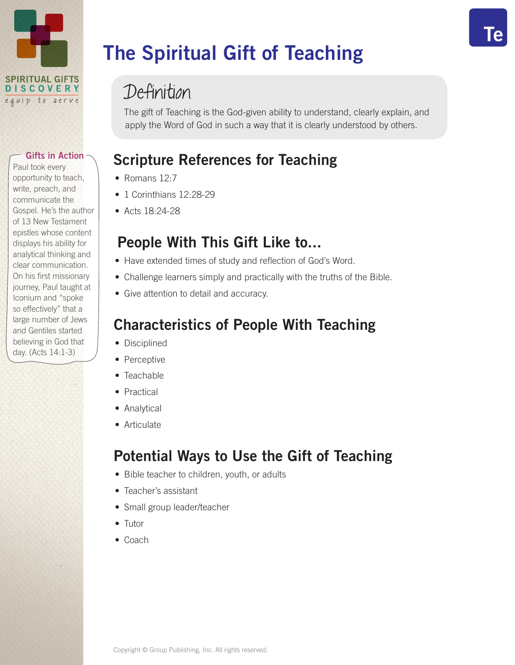

Paul took every opportunity to teach, write, preach, and communicate the Gospel. He's the author of 13 New Testament epistles whose content displays his ability for analytical thinking and clear communication. On his first missionary journey, Paul taught at Iconium and "spoke so effectively" that a large number of Jews and Gentiles started believing in God that day. (Acts 14:1-3)

# The Spiritual Gift of Teaching

# Definition

The gift of Teaching is the God-given ability to understand, clearly explain, and apply the Word of God in such a way that it is clearly understood by others.

Te

# Scripture References for Teaching

- Romans 12.7
- 1 Corinthians 12:28-29
- Acts 18:24-28

### People With This Gift Like to...

- Have extended times of study and reflection of God's Word.
- Challenge learners simply and practically with the truths of the Bible.
- Give attention to detail and accuracy.

### Characteristics of People With Teaching

- Disciplined
- Perceptive
- Teachable
- Practical
- Analytical
- Articulate

# Potential Ways to Use the Gift of Teaching

- Bible teacher to children, youth, or adults
- Teacher's assistant
- Small group leader/teacher
- Tutor
- Coach